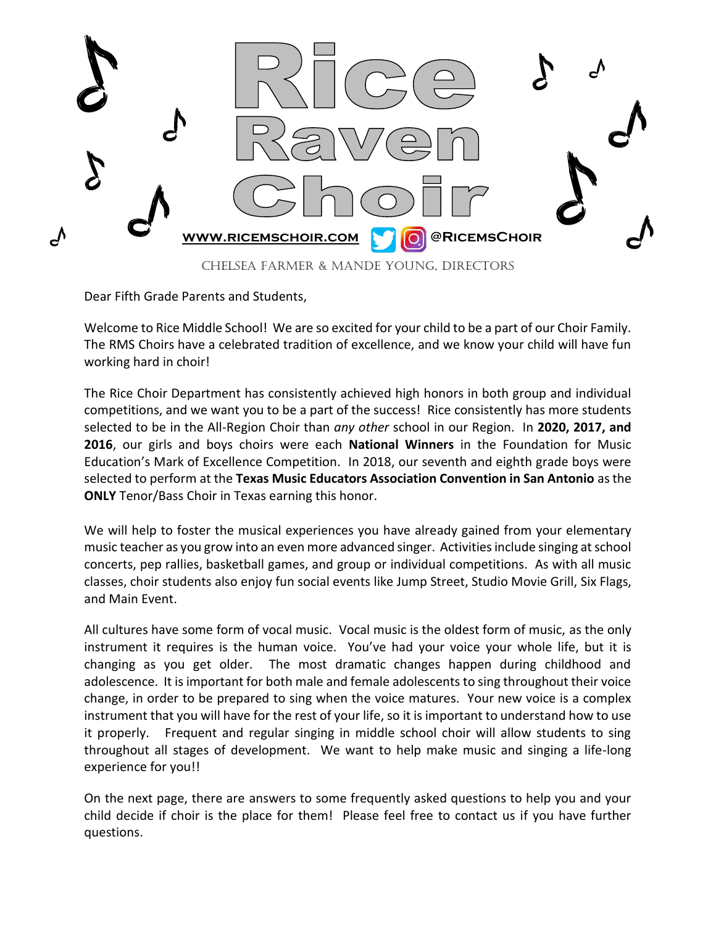

Dear Fifth Grade Parents and Students,

Welcome to Rice Middle School! We are so excited for your child to be a part of our Choir Family. The RMS Choirs have a celebrated tradition of excellence, and we know your child will have fun working hard in choir!

The Rice Choir Department has consistently achieved high honors in both group and individual competitions, and we want you to be a part of the success! Rice consistently has more students selected to be in the All-Region Choir than *any other* school in our Region. In **2020, 2017, and 2016**, our girls and boys choirs were each **National Winners** in the Foundation for Music Education's Mark of Excellence Competition. In 2018, our seventh and eighth grade boys were selected to perform at the **Texas Music Educators Association Convention in San Antonio** as the **ONLY** Tenor/Bass Choir in Texas earning this honor.

We will help to foster the musical experiences you have already gained from your elementary music teacher as you grow into an even more advanced singer. Activities include singing at school concerts, pep rallies, basketball games, and group or individual competitions. As with all music classes, choir students also enjoy fun social events like Jump Street, Studio Movie Grill, Six Flags, and Main Event.

All cultures have some form of vocal music. Vocal music is the oldest form of music, as the only instrument it requires is the human voice. You've had your voice your whole life, but it is changing as you get older. The most dramatic changes happen during childhood and adolescence. It is important for both male and female adolescents to sing throughout their voice change, in order to be prepared to sing when the voice matures. Your new voice is a complex instrument that you will have for the rest of your life, so it is important to understand how to use it properly. Frequent and regular singing in middle school choir will allow students to sing throughout all stages of development. We want to help make music and singing a life-long experience for you!!

On the next page, there are answers to some frequently asked questions to help you and your child decide if choir is the place for them! Please feel free to contact us if you have further questions.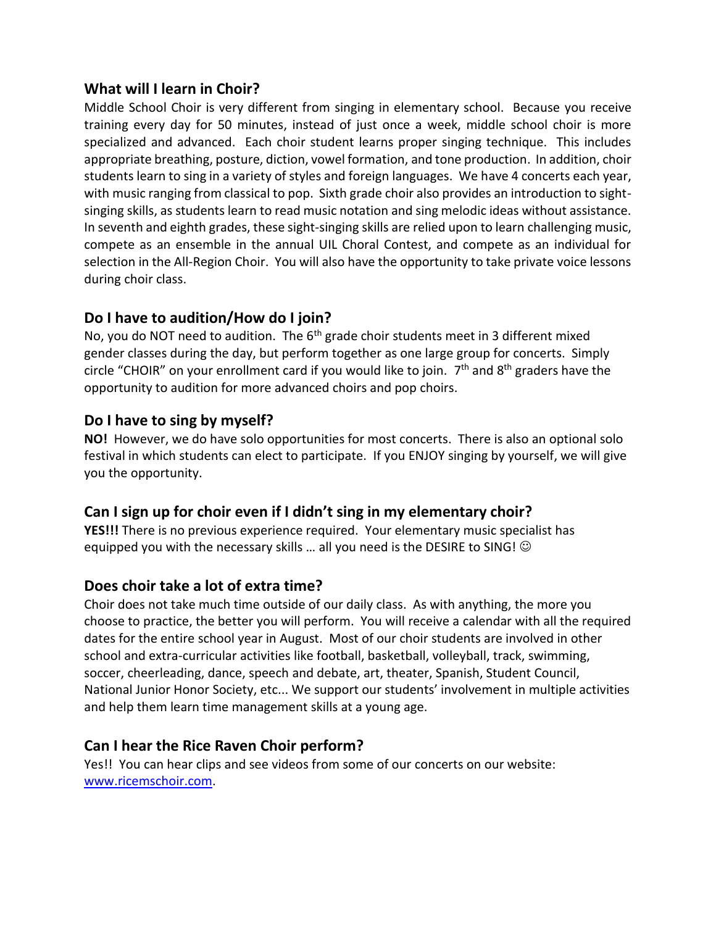#### **What will I learn in Choir?**

Middle School Choir is very different from singing in elementary school. Because you receive training every day for 50 minutes, instead of just once a week, middle school choir is more specialized and advanced. Each choir student learns proper singing technique. This includes appropriate breathing, posture, diction, vowel formation, and tone production. In addition, choir students learn to sing in a variety of styles and foreign languages. We have 4 concerts each year, with music ranging from classical to pop. Sixth grade choir also provides an introduction to sightsinging skills, as students learn to read music notation and sing melodic ideas without assistance. In seventh and eighth grades, these sight-singing skills are relied upon to learn challenging music, compete as an ensemble in the annual UIL Choral Contest, and compete as an individual for selection in the All-Region Choir. You will also have the opportunity to take private voice lessons during choir class.

## **Do I have to audition/How do I join?**

No, you do NOT need to audition. The  $6<sup>th</sup>$  grade choir students meet in 3 different mixed gender classes during the day, but perform together as one large group for concerts. Simply circle "CHOIR" on your enrollment card if you would like to join. 7<sup>th</sup> and 8<sup>th</sup> graders have the opportunity to audition for more advanced choirs and pop choirs.

### **Do I have to sing by myself?**

**NO!** However, we do have solo opportunities for most concerts. There is also an optional solo festival in which students can elect to participate. If you ENJOY singing by yourself, we will give you the opportunity.

# **Can I sign up for choir even if I didn't sing in my elementary choir?**

**YES!!!** There is no previous experience required. Your elementary music specialist has equipped you with the necessary skills ... all you need is the DESIRE to SING!  $\odot$ 

### **Does choir take a lot of extra time?**

Choir does not take much time outside of our daily class. As with anything, the more you choose to practice, the better you will perform. You will receive a calendar with all the required dates for the entire school year in August. Most of our choir students are involved in other school and extra-curricular activities like football, basketball, volleyball, track, swimming, soccer, cheerleading, dance, speech and debate, art, theater, Spanish, Student Council, National Junior Honor Society, etc... We support our students' involvement in multiple activities and help them learn time management skills at a young age.

### **Can I hear the Rice Raven Choir perform?**

Yes!! You can hear clips and see videos from some of our concerts on our website: [www.ricemschoir.com.](http://www.ricemschoir.com/)